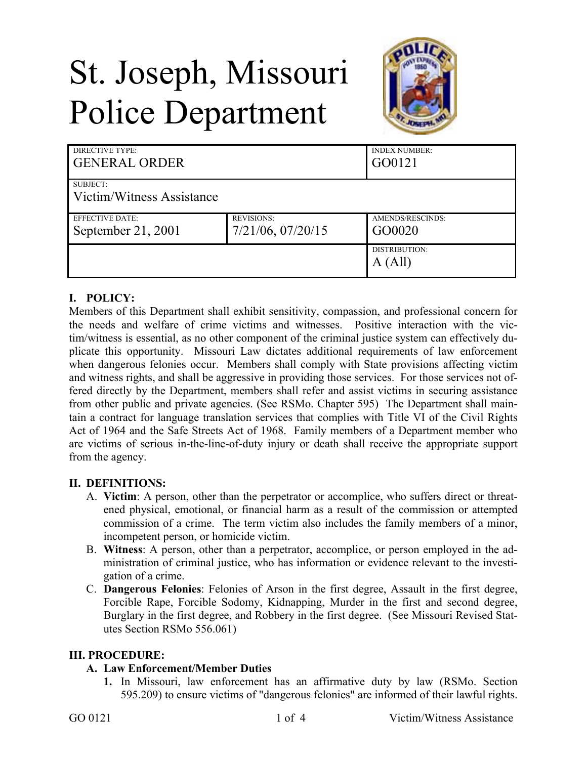# St. Joseph, Missouri Police Department



| DIRECTIVE TYPE:<br><b>GENERAL ORDER</b> |                   | <b>INDEX NUMBER:</b><br>GO0121 |
|-----------------------------------------|-------------------|--------------------------------|
| SUBJECT:                                |                   |                                |
| Victim/Witness Assistance               |                   |                                |
| <b>EFFECTIVE DATE:</b>                  | <b>REVISIONS:</b> | AMENDS/RESCINDS:               |
| September 21, 2001                      | 7/21/06, 07/20/15 | GO0020                         |
|                                         |                   | DISTRIBUTION:                  |
|                                         |                   | A (All)                        |

# **I. POLICY:**

Members of this Department shall exhibit sensitivity, compassion, and professional concern for the needs and welfare of crime victims and witnesses. Positive interaction with the victim/witness is essential, as no other component of the criminal justice system can effectively duplicate this opportunity. Missouri Law dictates additional requirements of law enforcement when dangerous felonies occur. Members shall comply with State provisions affecting victim and witness rights, and shall be aggressive in providing those services. For those services not offered directly by the Department, members shall refer and assist victims in securing assistance from other public and private agencies. (See RSMo. Chapter 595) The Department shall maintain a contract for language translation services that complies with Title VI of the Civil Rights Act of 1964 and the Safe Streets Act of 1968. Family members of a Department member who are victims of serious in-the-line-of-duty injury or death shall receive the appropriate support from the agency.

#### **II. DEFINITIONS:**

- A. **Victim**: A person, other than the perpetrator or accomplice, who suffers direct or threatened physical, emotional, or financial harm as a result of the commission or attempted commission of a crime. The term victim also includes the family members of a minor, incompetent person, or homicide victim.
- B. **Witness**: A person, other than a perpetrator, accomplice, or person employed in the administration of criminal justice, who has information or evidence relevant to the investigation of a crime.
- C. **Dangerous Felonies**: Felonies of Arson in the first degree, Assault in the first degree, Forcible Rape, Forcible Sodomy, Kidnapping, Murder in the first and second degree, Burglary in the first degree, and Robbery in the first degree. (See Missouri Revised Statutes Section RSMo 556.061)

#### **III. PROCEDURE:**

## **A. Law Enforcement/Member Duties**

**1.** In Missouri, law enforcement has an affirmative duty by law (RSMo. Section 595.209) to ensure victims of "dangerous felonies" are informed of their lawful rights.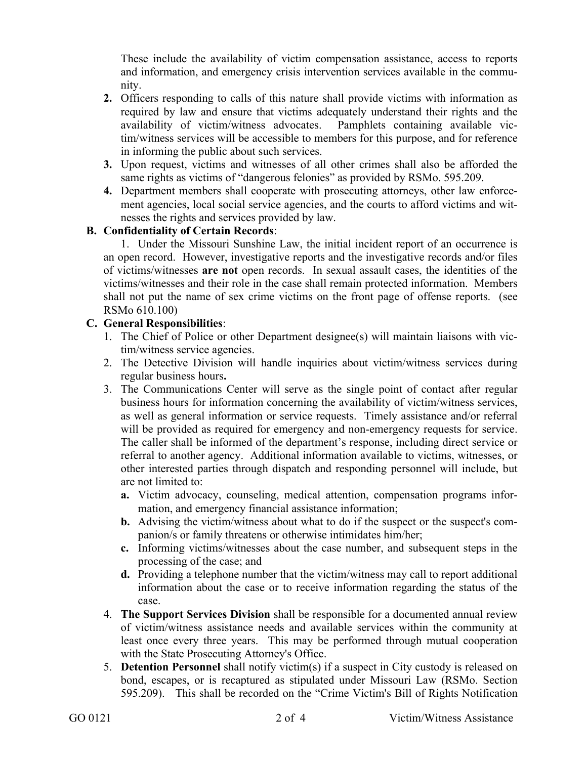These include the availability of victim compensation assistance, access to reports and information, and emergency crisis intervention services available in the community.

- **2.** Officers responding to calls of this nature shall provide victims with information as required by law and ensure that victims adequately understand their rights and the availability of victim/witness advocates. Pamphlets containing available victim/witness services will be accessible to members for this purpose, and for reference in informing the public about such services.
- **3.** Upon request, victims and witnesses of all other crimes shall also be afforded the same rights as victims of "dangerous felonies" as provided by RSMo. 595.209.
- **4.** Department members shall cooperate with prosecuting attorneys, other law enforcement agencies, local social service agencies, and the courts to afford victims and witnesses the rights and services provided by law.

## **B. Confidentiality of Certain Records**:

1. Under the Missouri Sunshine Law, the initial incident report of an occurrence is an open record. However, investigative reports and the investigative records and/or files of victims/witnesses **are not** open records. In sexual assault cases, the identities of the victims/witnesses and their role in the case shall remain protected information. Members shall not put the name of sex crime victims on the front page of offense reports. (see RSMo 610.100)

## **C. General Responsibilities**:

- 1. The Chief of Police or other Department designee(s) will maintain liaisons with victim/witness service agencies.
- 2. The Detective Division will handle inquiries about victim/witness services during regular business hours**.**
- 3. The Communications Center will serve as the single point of contact after regular business hours for information concerning the availability of victim/witness services, as well as general information or service requests. Timely assistance and/or referral will be provided as required for emergency and non-emergency requests for service. The caller shall be informed of the department's response, including direct service or referral to another agency. Additional information available to victims, witnesses, or other interested parties through dispatch and responding personnel will include, but are not limited to:
	- **a.** Victim advocacy, counseling, medical attention, compensation programs information, and emergency financial assistance information;
	- **b.** Advising the victim/witness about what to do if the suspect or the suspect's companion/s or family threatens or otherwise intimidates him/her;
	- **c.** Informing victims/witnesses about the case number, and subsequent steps in the processing of the case; and
	- **d.** Providing a telephone number that the victim/witness may call to report additional information about the case or to receive information regarding the status of the case.
- 4. **The Support Services Division** shall be responsible for a documented annual review of victim/witness assistance needs and available services within the community at least once every three years. This may be performed through mutual cooperation with the State Prosecuting Attorney's Office.
- 5. **Detention Personnel** shall notify victim(s) if a suspect in City custody is released on bond, escapes, or is recaptured as stipulated under Missouri Law (RSMo. Section 595.209). This shall be recorded on the "Crime Victim's Bill of Rights Notification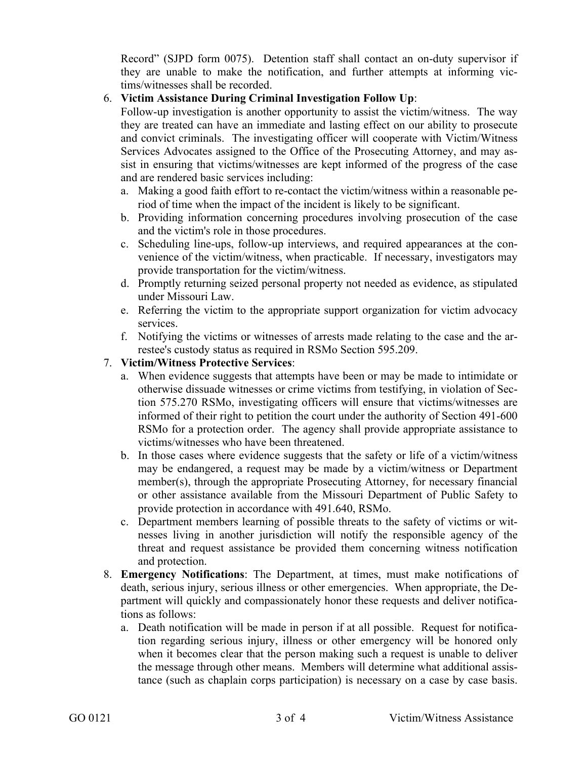Record" (SJPD form 0075). Detention staff shall contact an on-duty supervisor if they are unable to make the notification, and further attempts at informing victims/witnesses shall be recorded.

## 6. **Victim Assistance During Criminal Investigation Follow Up**:

Follow-up investigation is another opportunity to assist the victim/witness. The way they are treated can have an immediate and lasting effect on our ability to prosecute and convict criminals. The investigating officer will cooperate with Victim/Witness Services Advocates assigned to the Office of the Prosecuting Attorney, and may assist in ensuring that victims/witnesses are kept informed of the progress of the case and are rendered basic services including:

- a. Making a good faith effort to re-contact the victim/witness within a reasonable period of time when the impact of the incident is likely to be significant.
- b. Providing information concerning procedures involving prosecution of the case and the victim's role in those procedures.
- c. Scheduling line-ups, follow-up interviews, and required appearances at the convenience of the victim/witness, when practicable. If necessary, investigators may provide transportation for the victim/witness.
- d. Promptly returning seized personal property not needed as evidence, as stipulated under Missouri Law.
- e. Referring the victim to the appropriate support organization for victim advocacy services.
- f. Notifying the victims or witnesses of arrests made relating to the case and the arrestee's custody status as required in RSMo Section 595.209.

# 7. **Victim/Witness Protective Services**:

- a. When evidence suggests that attempts have been or may be made to intimidate or otherwise dissuade witnesses or crime victims from testifying, in violation of Section 575.270 RSMo, investigating officers will ensure that victims/witnesses are informed of their right to petition the court under the authority of Section 491-600 RSMo for a protection order. The agency shall provide appropriate assistance to victims/witnesses who have been threatened.
- b. In those cases where evidence suggests that the safety or life of a victim/witness may be endangered, a request may be made by a victim/witness or Department member(s), through the appropriate Prosecuting Attorney, for necessary financial or other assistance available from the Missouri Department of Public Safety to provide protection in accordance with 491.640, RSMo.
- c. Department members learning of possible threats to the safety of victims or witnesses living in another jurisdiction will notify the responsible agency of the threat and request assistance be provided them concerning witness notification and protection.
- 8. **Emergency Notifications**: The Department, at times, must make notifications of death, serious injury, serious illness or other emergencies. When appropriate, the Department will quickly and compassionately honor these requests and deliver notifications as follows:
	- a. Death notification will be made in person if at all possible. Request for notification regarding serious injury, illness or other emergency will be honored only when it becomes clear that the person making such a request is unable to deliver the message through other means. Members will determine what additional assistance (such as chaplain corps participation) is necessary on a case by case basis.